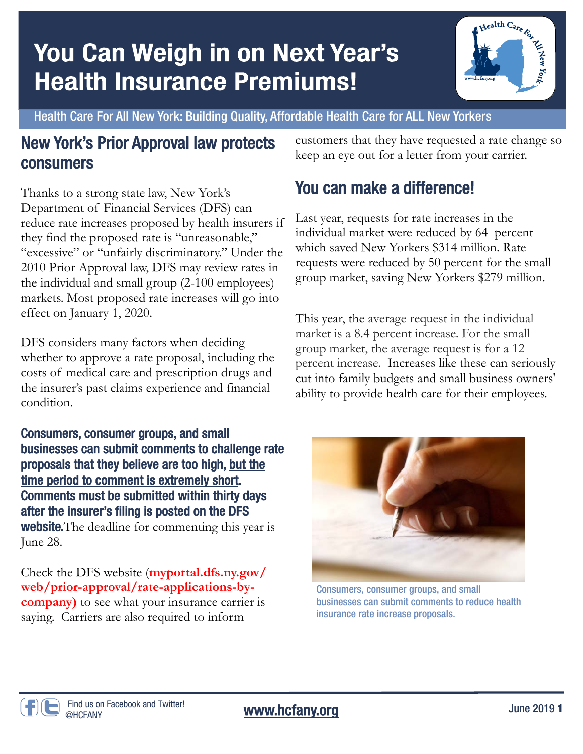# You Can Weigh in on Next Year's **Health Insurance Premiums!**



Health Care For All New York: Building Quality, Affordable Health Care for ALL New Yorkers

### New York's Prior Approval law protects consumers

Thanks to a strong state law, New York's Department of Financial Services (DFS) can reduce rate increases proposed by health insurers if they find the proposed rate is "unreasonable," "excessive" or "unfairly discriminatory." Under the 2010 Prior Approval law, DFS may review rates in the individual and small group (2-100 employees) markets. Most proposed rate increases will go into effect on January 1, 2020.

DFS considers many factors when deciding whether to approve a rate proposal, including the costs of medical care and prescription drugs and the insurer's past claims experience and financial condition.

Consumers, consumer groups, and small businesses can submit comments to challenge rate proposals that they believe are too high, but the time period to comment is extremely short. Comments must be submitted within thirty days after the insurer's filing is posted on the DFS **website.** The deadline for commenting this year is June 28.

Check the DFS website (**myportal.dfs.ny.gov/ web/prior-approval/rate-applications-bycompany)** to see what your insurance carrier is saying. Carriers are also required to inform

customers that they have requested a rate change so keep an eye out for a letter from your carrier.

## You can make a difference!

Last year, requests for rate increases in the individual market were reduced by 64 percent which saved New Yorkers \$314 million. Rate requests were reduced by 50 percent for the small group market, saving New Yorkers \$279 million.

This year, the average request in the individual market is a 8.4 percent increase. For the small group market, the average request is for a 12 percent increase. Increases like these can seriously cut into family budgets and small business owners' ability to provide health care for their employees.



Consumers, consumer groups, and small businesses can submit comments to reduce health insurance rate increase proposals.